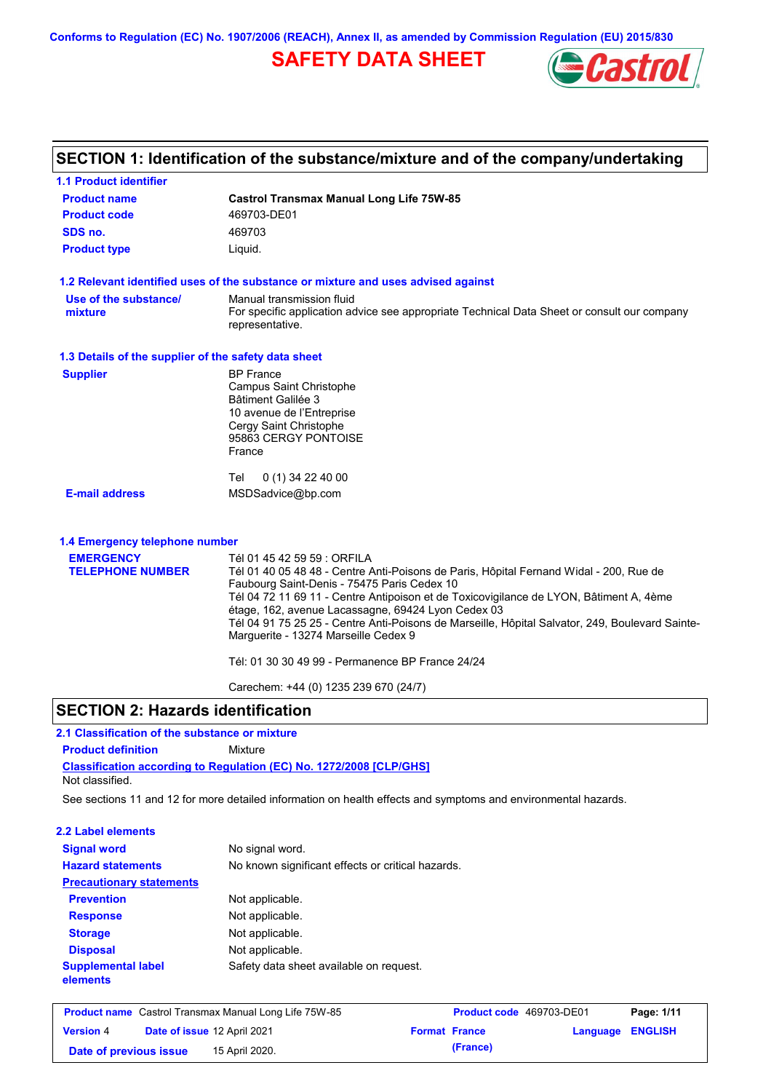# **SAFETY DATA SHEET**



# **SECTION 1: Identification of the substance/mixture and of the company/undertaking**

| <b>1.1 Product identifier</b>                        |                                                                                                                                         |
|------------------------------------------------------|-----------------------------------------------------------------------------------------------------------------------------------------|
| <b>Product name</b>                                  | <b>Castrol Transmax Manual Long Life 75W-85</b>                                                                                         |
| <b>Product code</b>                                  | 469703-DE01                                                                                                                             |
| SDS no.                                              | 469703                                                                                                                                  |
| <b>Product type</b>                                  | Liquid.                                                                                                                                 |
|                                                      | 1.2 Relevant identified uses of the substance or mixture and uses advised against                                                       |
| Use of the substance/                                | Manual transmission fluid                                                                                                               |
| mixture                                              | For specific application advice see appropriate Technical Data Sheet or consult our company<br>representative.                          |
| 1.3 Details of the supplier of the safety data sheet |                                                                                                                                         |
| <b>Supplier</b>                                      | <b>BP</b> France                                                                                                                        |
|                                                      | <b>Campus Saint Christophe</b>                                                                                                          |
|                                                      | Bâtiment Galilée 3<br>10 avenue de l'Entreprise                                                                                         |
|                                                      | Cergy Saint Christophe                                                                                                                  |
|                                                      | 95863 CERGY PONTOISE                                                                                                                    |
|                                                      | France                                                                                                                                  |
|                                                      | $0(1)$ 34 22 40 00<br>Tel                                                                                                               |
| <b>E-mail address</b>                                | MSDSadvice@bp.com                                                                                                                       |
| 1.4 Emergency telephone number                       |                                                                                                                                         |
| <b>EMERGENCY</b>                                     | Tél 01 45 42 59 59 : ORFILA                                                                                                             |
| <b>TELEPHONE NUMBER</b>                              | Tél 01 40 05 48 48 - Centre Anti-Poisons de Paris, Hôpital Fernand Widal - 200, Rue de                                                  |
|                                                      | Faubourg Saint-Denis - 75475 Paris Cedex 10                                                                                             |
|                                                      | Tél 04 72 11 69 11 - Centre Antipoison et de Toxicovigilance de LYON, Bâtiment A, 4ème                                                  |
|                                                      | étage, 162, avenue Lacassagne, 69424 Lyon Cedex 03                                                                                      |
|                                                      | Tél 04 91 75 25 25 - Centre Anti-Poisons de Marseille, Hôpital Salvator, 249, Boulevard Sainte-<br>Marguerite - 13274 Marseille Cedex 9 |
|                                                      | Tél: 01 30 30 49 99 - Permanence BP France 24/24                                                                                        |
|                                                      | Carechem: +44 (0) 1235 239 670 (24/7)                                                                                                   |

## **SECTION 2: Hazards identification**

### **2.1 Classification of the substance or mixture**

**Product definition** Mixture

**Classification according to Regulation (EC) No. 1272/2008 [CLP/GHS]** Not classified.

See sections 11 and 12 for more detailed information on health effects and symptoms and environmental hazards.

#### **2.2 Label elements**

| <b>Signal word</b>                    | No signal word.                                   |
|---------------------------------------|---------------------------------------------------|
| <b>Hazard statements</b>              | No known significant effects or critical hazards. |
| <b>Precautionary statements</b>       |                                                   |
| <b>Prevention</b>                     | Not applicable.                                   |
| <b>Response</b>                       | Not applicable.                                   |
| <b>Storage</b>                        | Not applicable.                                   |
| <b>Disposal</b>                       | Not applicable.                                   |
| <b>Supplemental label</b><br>elements | Safety data sheet available on request.           |

| <b>Product name</b> Castrol Transmax Manual Long Life 75W-85 |  | <b>Product code</b> 469703-DE01 |  | Page: 1/11           |                         |  |
|--------------------------------------------------------------|--|---------------------------------|--|----------------------|-------------------------|--|
| <b>Version 4</b>                                             |  | Date of issue 12 April 2021     |  | <b>Format France</b> | <b>Language ENGLISH</b> |  |
| Date of previous issue                                       |  | 15 April 2020.                  |  | (France)             |                         |  |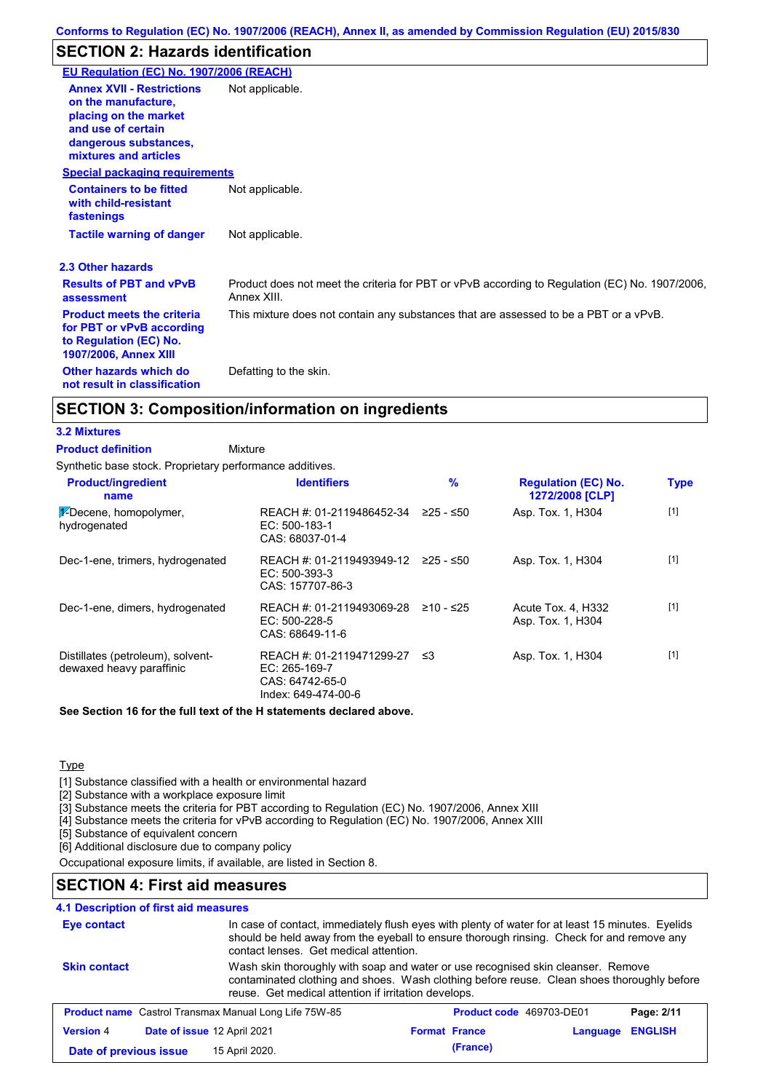# **SECTION 2: Hazards identification**

| EU Regulation (EC) No. 1907/2006 (REACH)                                                                                 |                                                                                                               |
|--------------------------------------------------------------------------------------------------------------------------|---------------------------------------------------------------------------------------------------------------|
|                                                                                                                          |                                                                                                               |
| <b>Annex XVII - Restrictions</b><br>on the manufacture.<br>placing on the market<br>and use of certain                   | Not applicable.                                                                                               |
| dangerous substances,<br>mixtures and articles                                                                           |                                                                                                               |
| <b>Special packaging requirements</b>                                                                                    |                                                                                                               |
| <b>Containers to be fitted</b><br>with child-resistant<br>fastenings                                                     | Not applicable.                                                                                               |
| <b>Tactile warning of danger</b>                                                                                         | Not applicable.                                                                                               |
| 2.3 Other hazards                                                                                                        |                                                                                                               |
| <b>Results of PBT and vPvB</b><br>assessment                                                                             | Product does not meet the criteria for PBT or vPvB according to Regulation (EC) No. 1907/2006,<br>Annex XIII. |
| <b>Product meets the criteria</b><br>for PBT or vPvB according<br>to Regulation (EC) No.<br><b>1907/2006, Annex XIII</b> | This mixture does not contain any substances that are assessed to be a PBT or a vPvB.                         |
| Other hazards which do<br>not result in classification                                                                   | Defatting to the skin.                                                                                        |

### **SECTION 3: Composition/information on ingredients**

#### **3.2 Mixtures**

Synthetic base stock. Proprietary performance additives. Mixture **Product definition**

| <b>Product/ingredient</b><br>name                             | <b>Identifiers</b>                                                                      | $\frac{9}{6}$ | <b>Regulation (EC) No.</b><br>1272/2008 [CLP] | <b>Type</b> |
|---------------------------------------------------------------|-----------------------------------------------------------------------------------------|---------------|-----------------------------------------------|-------------|
| 1-Decene, homopolymer,<br>hydrogenated                        | REACH #: 01-2119486452-34<br>$EC: 500-183-1$<br>CAS: 68037-01-4                         | $≥25 - ≤50$   | Asp. Tox. 1, H304                             | $[1]$       |
| Dec-1-ene, trimers, hydrogenated                              | REACH #: 01-2119493949-12<br>$EC: 500-393-3$<br>CAS: 157707-86-3                        | ≥25 - ≤50     | Asp. Tox. 1, H304                             | $[1]$       |
| Dec-1-ene, dimers, hydrogenated                               | REACH #: 01-2119493069-28<br>$EC: 500-228-5$<br>CAS: 68649-11-6                         | ≥10 - ≤25     | Acute Tox. 4, H332<br>Asp. Tox. 1, H304       | $[1]$       |
| Distillates (petroleum), solvent-<br>dewaxed heavy paraffinic | REACH #: 01-2119471299-27 ≤3<br>EC: 265-169-7<br>CAS: 64742-65-0<br>Index: 649-474-00-6 |               | Asp. Tox. 1, H304                             | $[1]$       |

**See Section 16 for the full text of the H statements declared above.**

### **Type**

[1] Substance classified with a health or environmental hazard

[2] Substance with a workplace exposure limit

[3] Substance meets the criteria for PBT according to Regulation (EC) No. 1907/2006, Annex XIII

[4] Substance meets the criteria for vPvB according to Regulation (EC) No. 1907/2006, Annex XIII

[5] Substance of equivalent concern

[6] Additional disclosure due to company policy

Occupational exposure limits, if available, are listed in Section 8.

# **SECTION 4: First aid measures**

### **4.1 Description of first aid measures**

| <b>Eye contact</b>     | In case of contact, immediately flush eyes with plenty of water for at least 15 minutes. Eyelids<br>should be held away from the eyeball to ensure thorough rinsing. Check for and remove any<br>contact lenses. Get medical attention. |                                                                                                                                                                                                                                        |          |          |                |  |  |
|------------------------|-----------------------------------------------------------------------------------------------------------------------------------------------------------------------------------------------------------------------------------------|----------------------------------------------------------------------------------------------------------------------------------------------------------------------------------------------------------------------------------------|----------|----------|----------------|--|--|
| <b>Skin contact</b>    |                                                                                                                                                                                                                                         | Wash skin thoroughly with soap and water or use recognised skin cleanser. Remove<br>contaminated clothing and shoes. Wash clothing before reuse. Clean shoes thoroughly before<br>reuse. Get medical attention if irritation develops. |          |          |                |  |  |
|                        | <b>Product name</b> Castrol Transmax Manual Long Life 75W-85<br>Product code 469703-DE01<br>Page: 2/11                                                                                                                                  |                                                                                                                                                                                                                                        |          |          |                |  |  |
| <b>Version 4</b>       | Date of issue 12 April 2021                                                                                                                                                                                                             | <b>Format France</b>                                                                                                                                                                                                                   |          | Language | <b>ENGLISH</b> |  |  |
| Date of previous issue | 15 April 2020.                                                                                                                                                                                                                          |                                                                                                                                                                                                                                        | (France) |          |                |  |  |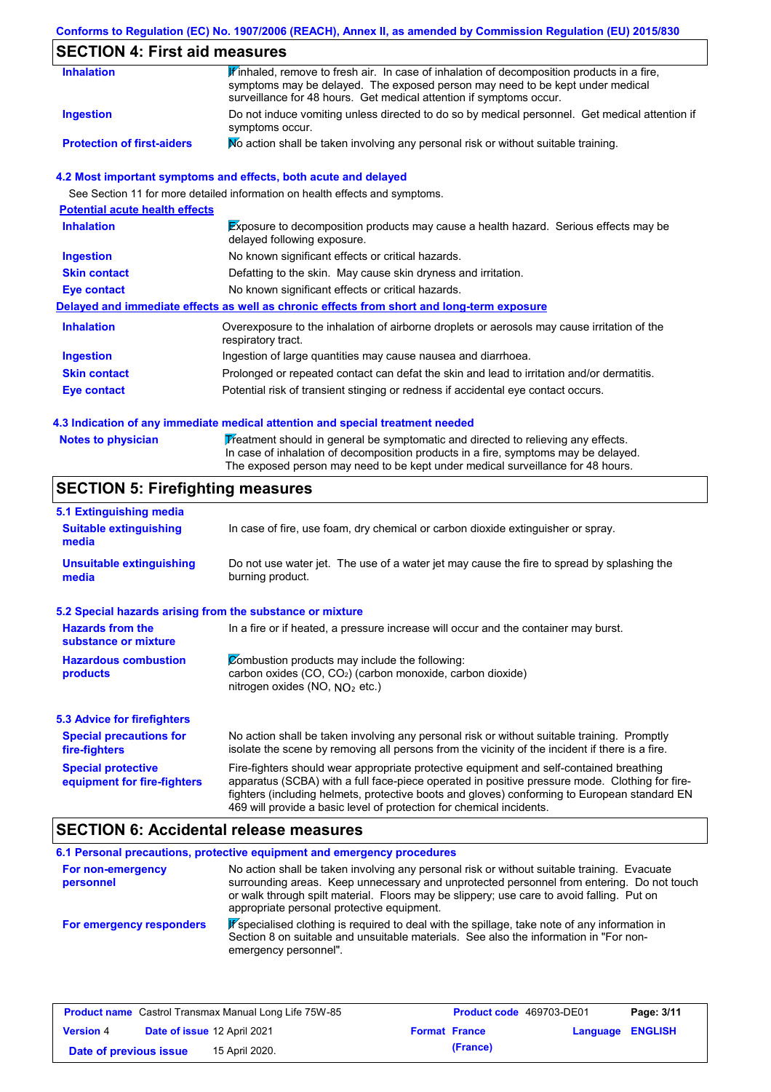# **SECTION 4: First aid measures**

| <b>Inhalation</b>                 | $\mathbf F$ inhaled, remove to fresh air. In case of inhalation of decomposition products in a fire,<br>symptoms may be delayed. The exposed person may need to be kept under medical<br>surveillance for 48 hours. Get medical attention if symptoms occur. |
|-----------------------------------|--------------------------------------------------------------------------------------------------------------------------------------------------------------------------------------------------------------------------------------------------------------|
| Ingestion                         | Do not induce vomiting unless directed to do so by medical personnel. Get medical attention if<br>symptoms occur.                                                                                                                                            |
| <b>Protection of first-aiders</b> | No action shall be taken involving any personal risk or without suitable training.                                                                                                                                                                           |

#### **4.2 Most important symptoms and effects, both acute and delayed**

See Section 11 for more detailed information on health effects and symptoms.

| <b>Potential acute health effects</b> |                                                                                                                     |
|---------------------------------------|---------------------------------------------------------------------------------------------------------------------|
| <b>Inhalation</b>                     | Exposure to decomposition products may cause a health hazard. Serious effects may be<br>delayed following exposure. |
| <b>Ingestion</b>                      | No known significant effects or critical hazards.                                                                   |
| <b>Skin contact</b>                   | Defatting to the skin. May cause skin dryness and irritation.                                                       |
| Eye contact                           | No known significant effects or critical hazards.                                                                   |
|                                       | Delayed and immediate effects as well as chronic effects from short and long-term exposure                          |
| <b>Inhalation</b>                     | Overexposure to the inhalation of airborne droplets or aerosols may cause irritation of the<br>respiratory tract.   |
| <b>Ingestion</b>                      | Ingestion of large quantities may cause nausea and diarrhoea.                                                       |
| <b>Skin contact</b>                   | Prolonged or repeated contact can defat the skin and lead to irritation and/or dermatitis.                          |
| Eye contact                           | Potential risk of transient stinging or redness if accidental eye contact occurs.                                   |

#### **4.3 Indication of any immediate medical attention and special treatment needed**

| <b>Notes to physician</b> | Treatment should in general be symptomatic and directed to relieving any effects.   |
|---------------------------|-------------------------------------------------------------------------------------|
|                           | In case of inhalation of decomposition products in a fire, symptoms may be delayed. |
|                           | The exposed person may need to be kept under medical surveillance for 48 hours.     |

# **SECTION 5: Firefighting measures**

| 5.1 Extinguishing media                                   |                                                                                                                                                                                                                                                                                                                                                                   |
|-----------------------------------------------------------|-------------------------------------------------------------------------------------------------------------------------------------------------------------------------------------------------------------------------------------------------------------------------------------------------------------------------------------------------------------------|
| <b>Suitable extinguishing</b><br>media                    | In case of fire, use foam, dry chemical or carbon dioxide extinguisher or spray.                                                                                                                                                                                                                                                                                  |
| <b>Unsuitable extinguishing</b><br>media                  | Do not use water jet. The use of a water jet may cause the fire to spread by splashing the<br>burning product.                                                                                                                                                                                                                                                    |
| 5.2 Special hazards arising from the substance or mixture |                                                                                                                                                                                                                                                                                                                                                                   |
| <b>Hazards from the</b><br>substance or mixture           | In a fire or if heated, a pressure increase will occur and the container may burst.                                                                                                                                                                                                                                                                               |
| <b>Hazardous combustion</b><br>products                   | Combustion products may include the following:<br>carbon oxides (CO, CO <sub>2</sub> ) (carbon monoxide, carbon dioxide)<br>nitrogen oxides (NO, $NO2$ etc.)                                                                                                                                                                                                      |
| <b>5.3 Advice for firefighters</b>                        |                                                                                                                                                                                                                                                                                                                                                                   |
| <b>Special precautions for</b><br>fire-fighters           | No action shall be taken involving any personal risk or without suitable training. Promptly<br>isolate the scene by removing all persons from the vicinity of the incident if there is a fire.                                                                                                                                                                    |
| <b>Special protective</b><br>equipment for fire-fighters  | Fire-fighters should wear appropriate protective equipment and self-contained breathing<br>apparatus (SCBA) with a full face-piece operated in positive pressure mode. Clothing for fire-<br>fighters (including helmets, protective boots and gloves) conforming to European standard EN<br>469 will provide a basic level of protection for chemical incidents. |

# **SECTION 6: Accidental release measures**

|                                | 6.1 Personal precautions, protective equipment and emergency procedures                                                                                                                                                                                                                                                             |
|--------------------------------|-------------------------------------------------------------------------------------------------------------------------------------------------------------------------------------------------------------------------------------------------------------------------------------------------------------------------------------|
| For non-emergency<br>personnel | No action shall be taken involving any personal risk or without suitable training. Evacuate<br>surrounding areas. Keep unnecessary and unprotected personnel from entering. Do not touch<br>or walk through spilt material. Floors may be slippery; use care to avoid falling. Put on<br>appropriate personal protective equipment. |
| For emergency responders       | $\mathbf F$ specialised clothing is required to deal with the spillage, take note of any information in<br>Section 8 on suitable and unsuitable materials. See also the information in "For non-<br>emergency personnel".                                                                                                           |

| <b>Product name</b> Castrol Transmax Manual Long Life 75W-85 |  | <b>Product code</b> 469703-DE01 |  | Page: 3/11           |                         |  |
|--------------------------------------------------------------|--|---------------------------------|--|----------------------|-------------------------|--|
| <b>Version 4</b>                                             |  | Date of issue 12 April 2021     |  | <b>Format France</b> | <b>Language ENGLISH</b> |  |
| Date of previous issue                                       |  | 15 April 2020.                  |  | (France)             |                         |  |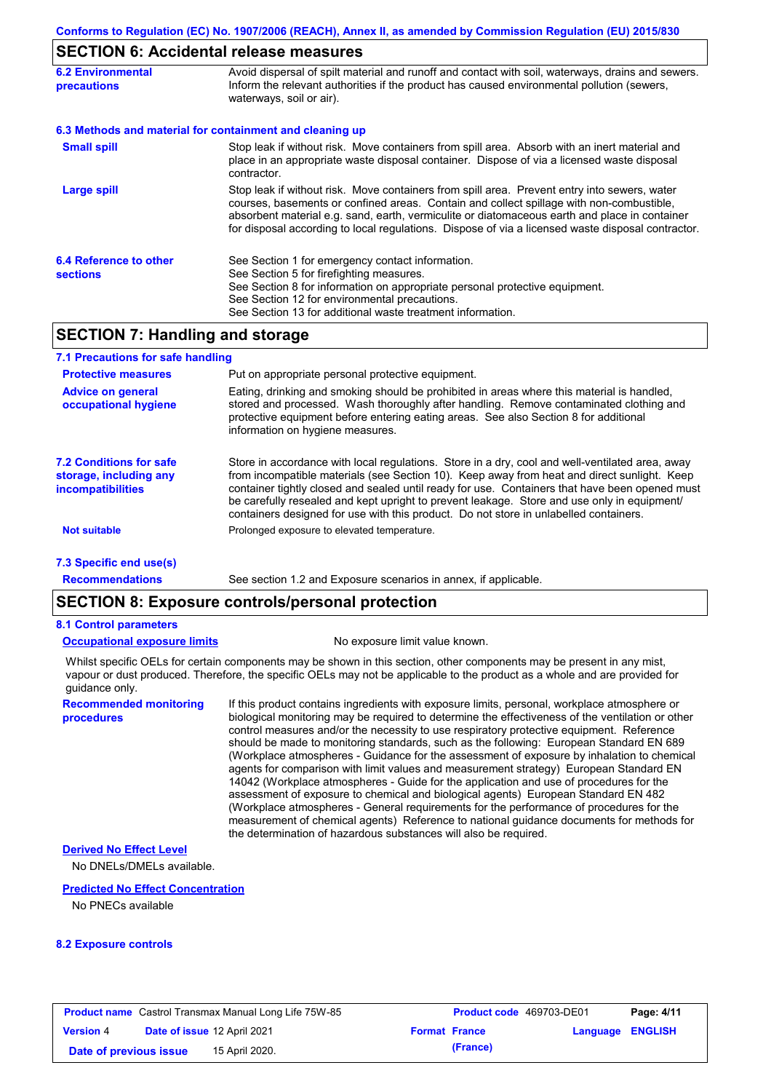## **SECTION 6: Accidental release measures**

| <b>6.2 Environmental</b><br><b>precautions</b> | Avoid dispersal of spilt material and runoff and contact with soil, waterways, drains and sewers.<br>Inform the relevant authorities if the product has caused environmental pollution (sewers,<br>waterways, soil or air).                                                                                                                                                                    |
|------------------------------------------------|------------------------------------------------------------------------------------------------------------------------------------------------------------------------------------------------------------------------------------------------------------------------------------------------------------------------------------------------------------------------------------------------|
|                                                | 6.3 Methods and material for containment and cleaning up                                                                                                                                                                                                                                                                                                                                       |
| <b>Small spill</b>                             | Stop leak if without risk. Move containers from spill area. Absorb with an inert material and<br>place in an appropriate waste disposal container. Dispose of via a licensed waste disposal<br>contractor.                                                                                                                                                                                     |
| Large spill                                    | Stop leak if without risk. Move containers from spill area. Prevent entry into sewers, water<br>courses, basements or confined areas. Contain and collect spillage with non-combustible,<br>absorbent material e.g. sand, earth, vermiculite or diatomaceous earth and place in container<br>for disposal according to local regulations. Dispose of via a licensed waste disposal contractor. |
| 6.4 Reference to other<br><b>sections</b>      | See Section 1 for emergency contact information.<br>See Section 5 for firefighting measures.<br>See Section 8 for information on appropriate personal protective equipment.<br>See Section 12 for environmental precautions.<br>See Section 13 for additional waste treatment information.                                                                                                     |

# **SECTION 7: Handling and storage**

| 7.1 Precautions for safe handling                                                    |                                                                                                                                                                                                                                                                                                                                                                                                                                                                                          |
|--------------------------------------------------------------------------------------|------------------------------------------------------------------------------------------------------------------------------------------------------------------------------------------------------------------------------------------------------------------------------------------------------------------------------------------------------------------------------------------------------------------------------------------------------------------------------------------|
| <b>Protective measures</b>                                                           | Put on appropriate personal protective equipment.                                                                                                                                                                                                                                                                                                                                                                                                                                        |
| <b>Advice on general</b><br>occupational hygiene                                     | Eating, drinking and smoking should be prohibited in areas where this material is handled.<br>stored and processed. Wash thoroughly after handling. Remove contaminated clothing and<br>protective equipment before entering eating areas. See also Section 8 for additional<br>information on hygiene measures.                                                                                                                                                                         |
| <b>7.2 Conditions for safe</b><br>storage, including any<br><i>incompatibilities</i> | Store in accordance with local regulations. Store in a dry, cool and well-ventilated area, away<br>from incompatible materials (see Section 10). Keep away from heat and direct sunlight. Keep<br>container tightly closed and sealed until ready for use. Containers that have been opened must<br>be carefully resealed and kept upright to prevent leakage. Store and use only in equipment/<br>containers designed for use with this product. Do not store in unlabelled containers. |
| <b>Not suitable</b>                                                                  | Prolonged exposure to elevated temperature.                                                                                                                                                                                                                                                                                                                                                                                                                                              |
| 7.3 Specific end use(s)                                                              |                                                                                                                                                                                                                                                                                                                                                                                                                                                                                          |
| <b>Recommendations</b>                                                               | See section 1.2 and Exposure scenarios in annex, if applicable.                                                                                                                                                                                                                                                                                                                                                                                                                          |

# **SECTION 8: Exposure controls/personal protection**

#### **8.1 Control parameters**

#### **Occupational exposure limits** No exposure limit value known.

Whilst specific OELs for certain components may be shown in this section, other components may be present in any mist, vapour or dust produced. Therefore, the specific OELs may not be applicable to the product as a whole and are provided for guidance only.

**Recommended monitoring procedures**

If this product contains ingredients with exposure limits, personal, workplace atmosphere or biological monitoring may be required to determine the effectiveness of the ventilation or other control measures and/or the necessity to use respiratory protective equipment. Reference should be made to monitoring standards, such as the following: European Standard EN 689 (Workplace atmospheres - Guidance for the assessment of exposure by inhalation to chemical agents for comparison with limit values and measurement strategy) European Standard EN 14042 (Workplace atmospheres - Guide for the application and use of procedures for the assessment of exposure to chemical and biological agents) European Standard EN 482 (Workplace atmospheres - General requirements for the performance of procedures for the measurement of chemical agents) Reference to national guidance documents for methods for the determination of hazardous substances will also be required.

#### **Derived No Effect Level**

No DNELs/DMELs available.

#### **Predicted No Effect Concentration**

No PNECs available

#### **8.2 Exposure controls**

| <b>Product name</b> Castrol Transmax Manual Long Life 75W-85 |  |                             | Product code 469703-DE01 |                      | Page: 4/11       |  |
|--------------------------------------------------------------|--|-----------------------------|--------------------------|----------------------|------------------|--|
| <b>Version 4</b>                                             |  | Date of issue 12 April 2021 |                          | <b>Format France</b> | Language ENGLISH |  |
| Date of previous issue                                       |  | 15 April 2020.              |                          | (France)             |                  |  |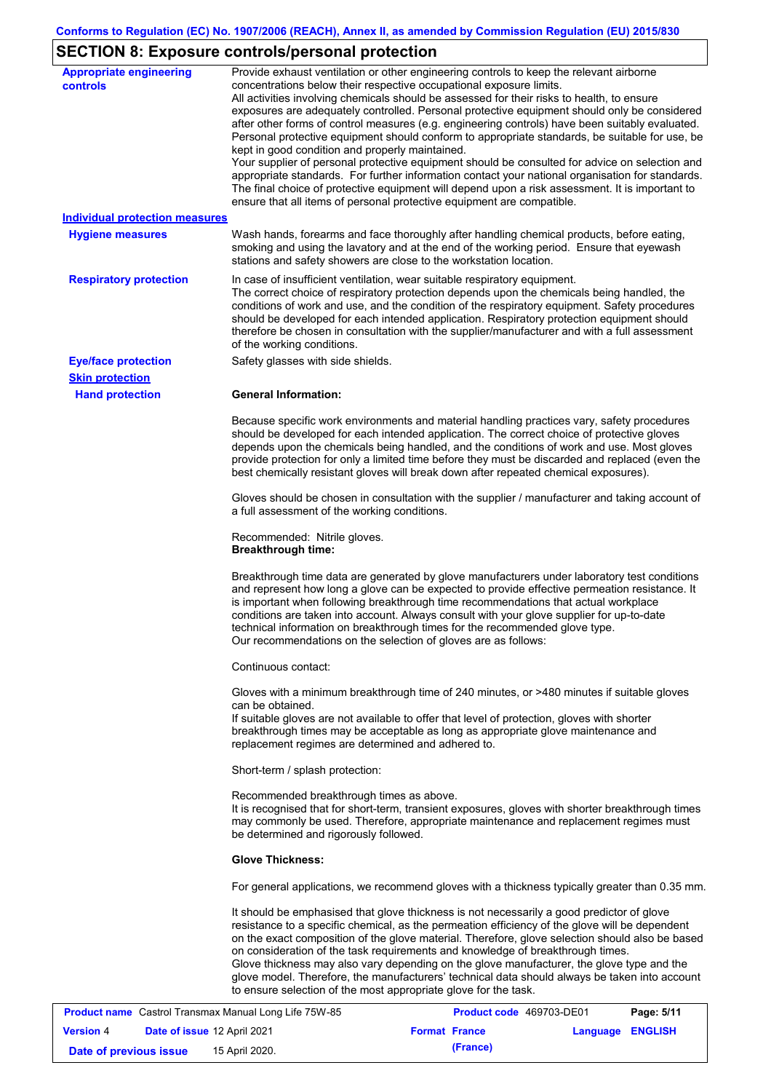# **SECTION 8: Exposure controls/personal protection**

| <b>Appropriate engineering</b><br><b>controls</b> | Provide exhaust ventilation or other engineering controls to keep the relevant airborne<br>concentrations below their respective occupational exposure limits.<br>All activities involving chemicals should be assessed for their risks to health, to ensure<br>exposures are adequately controlled. Personal protective equipment should only be considered<br>after other forms of control measures (e.g. engineering controls) have been suitably evaluated.<br>Personal protective equipment should conform to appropriate standards, be suitable for use, be<br>kept in good condition and properly maintained.<br>Your supplier of personal protective equipment should be consulted for advice on selection and<br>appropriate standards. For further information contact your national organisation for standards.<br>The final choice of protective equipment will depend upon a risk assessment. It is important to<br>ensure that all items of personal protective equipment are compatible. |
|---------------------------------------------------|---------------------------------------------------------------------------------------------------------------------------------------------------------------------------------------------------------------------------------------------------------------------------------------------------------------------------------------------------------------------------------------------------------------------------------------------------------------------------------------------------------------------------------------------------------------------------------------------------------------------------------------------------------------------------------------------------------------------------------------------------------------------------------------------------------------------------------------------------------------------------------------------------------------------------------------------------------------------------------------------------------|
| <b>Individual protection measures</b>             |                                                                                                                                                                                                                                                                                                                                                                                                                                                                                                                                                                                                                                                                                                                                                                                                                                                                                                                                                                                                         |
| <b>Hygiene measures</b>                           | Wash hands, forearms and face thoroughly after handling chemical products, before eating,<br>smoking and using the lavatory and at the end of the working period. Ensure that eyewash<br>stations and safety showers are close to the workstation location.                                                                                                                                                                                                                                                                                                                                                                                                                                                                                                                                                                                                                                                                                                                                             |
| <b>Respiratory protection</b>                     | In case of insufficient ventilation, wear suitable respiratory equipment.<br>The correct choice of respiratory protection depends upon the chemicals being handled, the<br>conditions of work and use, and the condition of the respiratory equipment. Safety procedures<br>should be developed for each intended application. Respiratory protection equipment should<br>therefore be chosen in consultation with the supplier/manufacturer and with a full assessment<br>of the working conditions.                                                                                                                                                                                                                                                                                                                                                                                                                                                                                                   |
| <b>Eye/face protection</b>                        | Safety glasses with side shields.                                                                                                                                                                                                                                                                                                                                                                                                                                                                                                                                                                                                                                                                                                                                                                                                                                                                                                                                                                       |
| <b>Skin protection</b>                            |                                                                                                                                                                                                                                                                                                                                                                                                                                                                                                                                                                                                                                                                                                                                                                                                                                                                                                                                                                                                         |
| <b>Hand protection</b>                            | <b>General Information:</b>                                                                                                                                                                                                                                                                                                                                                                                                                                                                                                                                                                                                                                                                                                                                                                                                                                                                                                                                                                             |
|                                                   | Because specific work environments and material handling practices vary, safety procedures<br>should be developed for each intended application. The correct choice of protective gloves<br>depends upon the chemicals being handled, and the conditions of work and use. Most gloves<br>provide protection for only a limited time before they must be discarded and replaced (even the<br>best chemically resistant gloves will break down after repeated chemical exposures).                                                                                                                                                                                                                                                                                                                                                                                                                                                                                                                        |
|                                                   | Gloves should be chosen in consultation with the supplier / manufacturer and taking account of<br>a full assessment of the working conditions.                                                                                                                                                                                                                                                                                                                                                                                                                                                                                                                                                                                                                                                                                                                                                                                                                                                          |
|                                                   | Recommended: Nitrile gloves.<br><b>Breakthrough time:</b>                                                                                                                                                                                                                                                                                                                                                                                                                                                                                                                                                                                                                                                                                                                                                                                                                                                                                                                                               |
|                                                   | Breakthrough time data are generated by glove manufacturers under laboratory test conditions<br>and represent how long a glove can be expected to provide effective permeation resistance. It<br>is important when following breakthrough time recommendations that actual workplace<br>conditions are taken into account. Always consult with your glove supplier for up-to-date<br>technical information on breakthrough times for the recommended glove type.<br>Our recommendations on the selection of gloves are as follows:                                                                                                                                                                                                                                                                                                                                                                                                                                                                      |
|                                                   | Continuous contact:                                                                                                                                                                                                                                                                                                                                                                                                                                                                                                                                                                                                                                                                                                                                                                                                                                                                                                                                                                                     |
|                                                   | Gloves with a minimum breakthrough time of 240 minutes, or >480 minutes if suitable gloves<br>can be obtained.<br>If suitable gloves are not available to offer that level of protection, gloves with shorter<br>breakthrough times may be acceptable as long as appropriate glove maintenance and<br>replacement regimes are determined and adhered to.                                                                                                                                                                                                                                                                                                                                                                                                                                                                                                                                                                                                                                                |
|                                                   | Short-term / splash protection:                                                                                                                                                                                                                                                                                                                                                                                                                                                                                                                                                                                                                                                                                                                                                                                                                                                                                                                                                                         |
|                                                   | Recommended breakthrough times as above.<br>It is recognised that for short-term, transient exposures, gloves with shorter breakthrough times<br>may commonly be used. Therefore, appropriate maintenance and replacement regimes must<br>be determined and rigorously followed.                                                                                                                                                                                                                                                                                                                                                                                                                                                                                                                                                                                                                                                                                                                        |
|                                                   | <b>Glove Thickness:</b>                                                                                                                                                                                                                                                                                                                                                                                                                                                                                                                                                                                                                                                                                                                                                                                                                                                                                                                                                                                 |
|                                                   | For general applications, we recommend gloves with a thickness typically greater than 0.35 mm.                                                                                                                                                                                                                                                                                                                                                                                                                                                                                                                                                                                                                                                                                                                                                                                                                                                                                                          |
|                                                   | It should be emphasised that glove thickness is not necessarily a good predictor of glove<br>resistance to a specific chemical, as the permeation efficiency of the glove will be dependent<br>on the exact composition of the glove material. Therefore, glove selection should also be based<br>on consideration of the task requirements and knowledge of breakthrough times.<br>Glove thickness may also vary depending on the glove manufacturer, the glove type and the<br>glove model. Therefore, the manufacturers' technical data should always be taken into account<br>to ensure selection of the most appropriate glove for the task.                                                                                                                                                                                                                                                                                                                                                       |

| <b>Product name</b> Castrol Transmax Manual Long Life 75W-85 |                                    | <b>Product code</b> 469703-DE01 | Page: 5/11           |          |                  |  |
|--------------------------------------------------------------|------------------------------------|---------------------------------|----------------------|----------|------------------|--|
| <b>Version 4</b>                                             | <b>Date of issue 12 April 2021</b> |                                 | <b>Format France</b> |          | Language ENGLISH |  |
| Date of previous issue                                       |                                    | 15 April 2020.                  |                      | (France) |                  |  |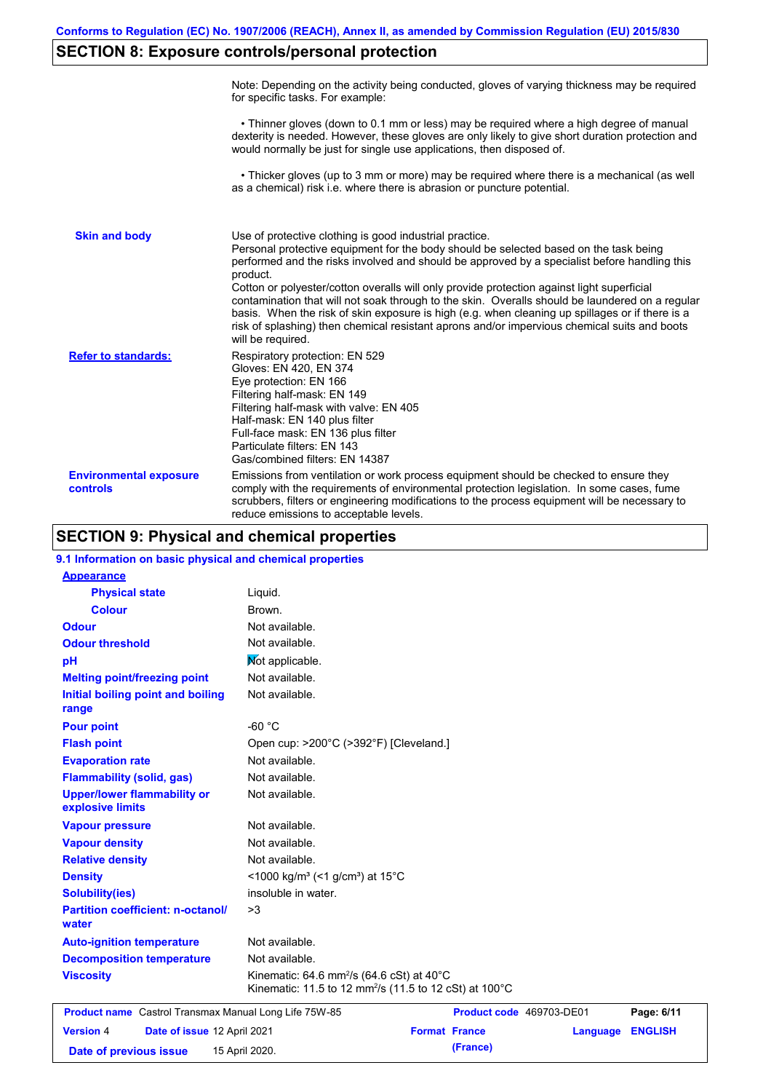# **SECTION 8: Exposure controls/personal protection**

|                                           | Note: Depending on the activity being conducted, gloves of varying thickness may be required<br>for specific tasks. For example:                                                                                                                                                                                                                                                                                                                                                                                                                                                                                                                                                      |
|-------------------------------------------|---------------------------------------------------------------------------------------------------------------------------------------------------------------------------------------------------------------------------------------------------------------------------------------------------------------------------------------------------------------------------------------------------------------------------------------------------------------------------------------------------------------------------------------------------------------------------------------------------------------------------------------------------------------------------------------|
|                                           | • Thinner gloves (down to 0.1 mm or less) may be required where a high degree of manual<br>dexterity is needed. However, these gloves are only likely to give short duration protection and<br>would normally be just for single use applications, then disposed of.                                                                                                                                                                                                                                                                                                                                                                                                                  |
|                                           | • Thicker gloves (up to 3 mm or more) may be required where there is a mechanical (as well<br>as a chemical) risk i.e. where there is abrasion or puncture potential.                                                                                                                                                                                                                                                                                                                                                                                                                                                                                                                 |
| <b>Skin and body</b>                      | Use of protective clothing is good industrial practice.<br>Personal protective equipment for the body should be selected based on the task being<br>performed and the risks involved and should be approved by a specialist before handling this<br>product.<br>Cotton or polyester/cotton overalls will only provide protection against light superficial<br>contamination that will not soak through to the skin. Overalls should be laundered on a regular<br>basis. When the risk of skin exposure is high (e.g. when cleaning up spillages or if there is a<br>risk of splashing) then chemical resistant aprons and/or impervious chemical suits and boots<br>will be required. |
| <b>Refer to standards:</b>                | Respiratory protection: EN 529<br>Gloves: EN 420, EN 374<br>Eye protection: EN 166<br>Filtering half-mask: EN 149<br>Filtering half-mask with valve: EN 405<br>Half-mask: EN 140 plus filter<br>Full-face mask: EN 136 plus filter<br>Particulate filters: EN 143<br>Gas/combined filters: EN 14387                                                                                                                                                                                                                                                                                                                                                                                   |
| <b>Environmental exposure</b><br>controls | Emissions from ventilation or work process equipment should be checked to ensure they<br>comply with the requirements of environmental protection legislation. In some cases, fume<br>scrubbers, filters or engineering modifications to the process equipment will be necessary to<br>reduce emissions to acceptable levels.                                                                                                                                                                                                                                                                                                                                                         |

# **SECTION 9: Physical and chemical properties**

| 9.1 Information on basic physical and chemical properties |                                                                                                                                       |                      |                          |                |
|-----------------------------------------------------------|---------------------------------------------------------------------------------------------------------------------------------------|----------------------|--------------------------|----------------|
| <b>Appearance</b>                                         |                                                                                                                                       |                      |                          |                |
| <b>Physical state</b>                                     | Liquid.                                                                                                                               |                      |                          |                |
| <b>Colour</b>                                             | Brown.                                                                                                                                |                      |                          |                |
| <b>Odour</b>                                              | Not available.                                                                                                                        |                      |                          |                |
| <b>Odour threshold</b>                                    | Not available.                                                                                                                        |                      |                          |                |
| pH                                                        | Mot applicable.                                                                                                                       |                      |                          |                |
| <b>Melting point/freezing point</b>                       | Not available.                                                                                                                        |                      |                          |                |
| Initial boiling point and boiling<br>range                | Not available.                                                                                                                        |                      |                          |                |
| <b>Pour point</b>                                         | $-60 °C$                                                                                                                              |                      |                          |                |
| <b>Flash point</b>                                        | Open cup: >200°C (>392°F) [Cleveland.]                                                                                                |                      |                          |                |
| <b>Evaporation rate</b>                                   | Not available.                                                                                                                        |                      |                          |                |
| <b>Flammability (solid, gas)</b>                          | Not available.                                                                                                                        |                      |                          |                |
| <b>Upper/lower flammability or</b><br>explosive limits    | Not available.                                                                                                                        |                      |                          |                |
| <b>Vapour pressure</b>                                    | Not available.                                                                                                                        |                      |                          |                |
| <b>Vapour density</b>                                     | Not available.                                                                                                                        |                      |                          |                |
| <b>Relative density</b>                                   | Not available.                                                                                                                        |                      |                          |                |
| <b>Density</b>                                            | <1000 kg/m <sup>3</sup> (<1 g/cm <sup>3</sup> ) at 15 <sup>°</sup> C                                                                  |                      |                          |                |
| <b>Solubility(ies)</b>                                    | insoluble in water.                                                                                                                   |                      |                          |                |
| <b>Partition coefficient: n-octanol/</b><br>water         | >3                                                                                                                                    |                      |                          |                |
| <b>Auto-ignition temperature</b>                          | Not available.                                                                                                                        |                      |                          |                |
| <b>Decomposition temperature</b>                          | Not available.                                                                                                                        |                      |                          |                |
| <b>Viscosity</b>                                          | Kinematic: 64.6 mm <sup>2</sup> /s (64.6 cSt) at $40^{\circ}$ C<br>Kinematic: 11.5 to 12 mm <sup>2</sup> /s (11.5 to 12 cSt) at 100°C |                      |                          |                |
| Product name Castrol Transmax Manual Long Life 75W-85     |                                                                                                                                       |                      | Product code 469703-DE01 | Page: 6/11     |
| <b>Version 4</b><br>Date of issue 12 April 2021           |                                                                                                                                       | <b>Format France</b> | Language                 | <b>ENGLISH</b> |
| 15 April 2020.<br>Date of previous issue                  | (France)                                                                                                                              |                      |                          |                |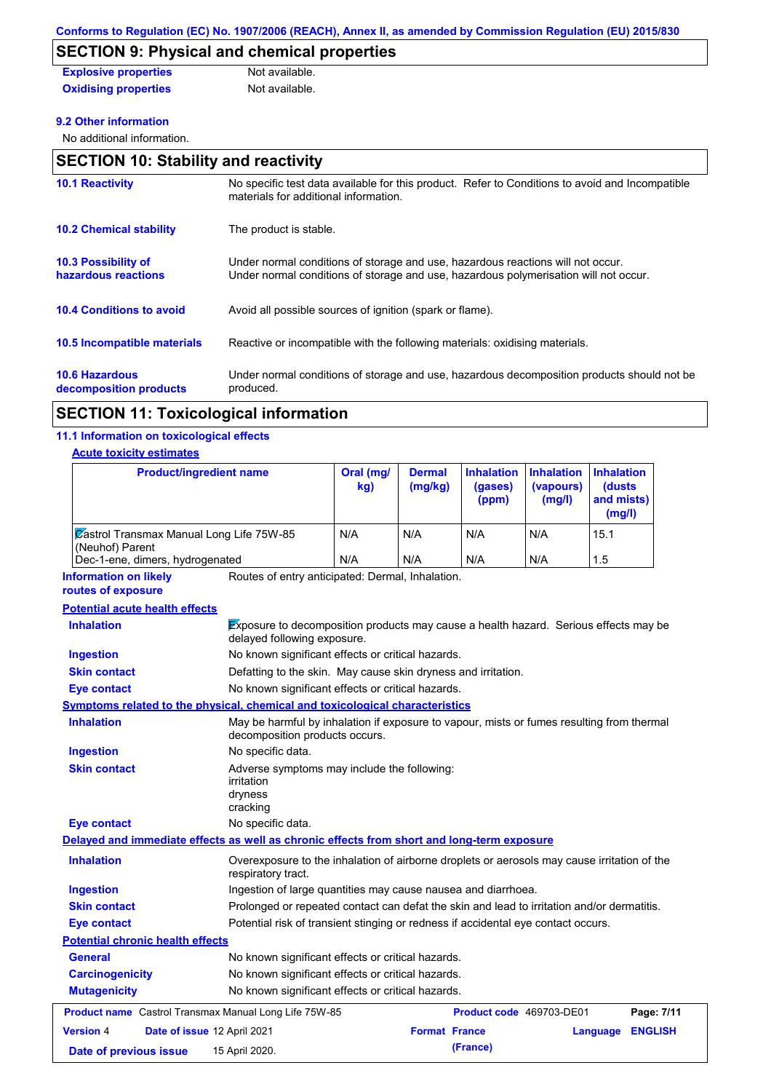# **SECTION 9: Physical and chemical properties**

| <b>Explosive properties</b> | Not available. |
|-----------------------------|----------------|
| <b>Oxidising properties</b> | Not available. |

#### **9.2 Other information**

No additional information.

| <b>SECTION 10: Stability and reactivity</b>       |                                                                                                                                                                         |  |  |  |
|---------------------------------------------------|-------------------------------------------------------------------------------------------------------------------------------------------------------------------------|--|--|--|
| <b>10.1 Reactivity</b>                            | No specific test data available for this product. Refer to Conditions to avoid and Incompatible<br>materials for additional information.                                |  |  |  |
| <b>10.2 Chemical stability</b>                    | The product is stable.                                                                                                                                                  |  |  |  |
| <b>10.3 Possibility of</b><br>hazardous reactions | Under normal conditions of storage and use, hazardous reactions will not occur.<br>Under normal conditions of storage and use, hazardous polymerisation will not occur. |  |  |  |
| <b>10.4 Conditions to avoid</b>                   | Avoid all possible sources of ignition (spark or flame).                                                                                                                |  |  |  |
| 10.5 Incompatible materials                       | Reactive or incompatible with the following materials: oxidising materials.                                                                                             |  |  |  |
| <b>10.6 Hazardous</b><br>decomposition products   | Under normal conditions of storage and use, hazardous decomposition products should not be<br>produced.                                                                 |  |  |  |

# **SECTION 11: Toxicological information**

## **11.1 Information on toxicological effects**

#### **Acute toxicity estimates**

| <b>Product/ingredient name</b>                                                             |                                                                                                                     | Oral (mg/<br>kg)                                                                                                            | <b>Dermal</b><br>(mg/kg) | <b>Inhalation</b><br>(gases)<br>(ppm) | <b>Inhalation</b><br>(vapours)<br>(mg/l) | <b>Inhalation</b><br>(dusts<br>and mists)<br>(mg/l) |
|--------------------------------------------------------------------------------------------|---------------------------------------------------------------------------------------------------------------------|-----------------------------------------------------------------------------------------------------------------------------|--------------------------|---------------------------------------|------------------------------------------|-----------------------------------------------------|
| <b>Zastrol Transmax Manual Long Life 75W-85</b><br>(Neuhof) Parent                         |                                                                                                                     | N/A                                                                                                                         | N/A                      | N/A                                   | N/A                                      | 15.1                                                |
| Dec-1-ene, dimers, hydrogenated                                                            |                                                                                                                     | N/A                                                                                                                         | N/A                      | N/A                                   | N/A                                      | 1.5                                                 |
| <b>Information on likely</b><br>routes of exposure                                         | Routes of entry anticipated: Dermal, Inhalation.                                                                    |                                                                                                                             |                          |                                       |                                          |                                                     |
| <b>Potential acute health effects</b>                                                      |                                                                                                                     |                                                                                                                             |                          |                                       |                                          |                                                     |
| <b>Inhalation</b>                                                                          | Exposure to decomposition products may cause a health hazard. Serious effects may be<br>delayed following exposure. |                                                                                                                             |                          |                                       |                                          |                                                     |
| <b>Ingestion</b>                                                                           | No known significant effects or critical hazards.                                                                   |                                                                                                                             |                          |                                       |                                          |                                                     |
| <b>Skin contact</b>                                                                        | Defatting to the skin. May cause skin dryness and irritation.                                                       |                                                                                                                             |                          |                                       |                                          |                                                     |
| <b>Eye contact</b>                                                                         | No known significant effects or critical hazards.                                                                   |                                                                                                                             |                          |                                       |                                          |                                                     |
| Symptoms related to the physical, chemical and toxicological characteristics               |                                                                                                                     |                                                                                                                             |                          |                                       |                                          |                                                     |
| <b>Inhalation</b>                                                                          |                                                                                                                     | May be harmful by inhalation if exposure to vapour, mists or fumes resulting from thermal<br>decomposition products occurs. |                          |                                       |                                          |                                                     |
| <b>Ingestion</b>                                                                           | No specific data.                                                                                                   |                                                                                                                             |                          |                                       |                                          |                                                     |
| <b>Skin contact</b>                                                                        | irritation<br>dryness<br>cracking                                                                                   | Adverse symptoms may include the following:                                                                                 |                          |                                       |                                          |                                                     |
| <b>Eye contact</b>                                                                         | No specific data.                                                                                                   |                                                                                                                             |                          |                                       |                                          |                                                     |
| Delayed and immediate effects as well as chronic effects from short and long-term exposure |                                                                                                                     |                                                                                                                             |                          |                                       |                                          |                                                     |
| <b>Inhalation</b>                                                                          | Overexposure to the inhalation of airborne droplets or aerosols may cause irritation of the<br>respiratory tract.   |                                                                                                                             |                          |                                       |                                          |                                                     |
| <b>Ingestion</b>                                                                           | Ingestion of large quantities may cause nausea and diarrhoea.                                                       |                                                                                                                             |                          |                                       |                                          |                                                     |
| <b>Skin contact</b>                                                                        | Prolonged or repeated contact can defat the skin and lead to irritation and/or dermatitis.                          |                                                                                                                             |                          |                                       |                                          |                                                     |
| <b>Eye contact</b>                                                                         | Potential risk of transient stinging or redness if accidental eye contact occurs.                                   |                                                                                                                             |                          |                                       |                                          |                                                     |
| <b>Potential chronic health effects</b>                                                    |                                                                                                                     |                                                                                                                             |                          |                                       |                                          |                                                     |
| General                                                                                    | No known significant effects or critical hazards.                                                                   |                                                                                                                             |                          |                                       |                                          |                                                     |
| <b>Carcinogenicity</b>                                                                     |                                                                                                                     | No known significant effects or critical hazards.                                                                           |                          |                                       |                                          |                                                     |
| <b>Mutagenicity</b>                                                                        | No known significant effects or critical hazards.                                                                   |                                                                                                                             |                          |                                       |                                          |                                                     |
| Product name Castrol Transmax Manual Long Life 75W-85                                      |                                                                                                                     |                                                                                                                             |                          | Product code 469703-DE01              |                                          | Page: 7/11                                          |
| <b>Version 4</b><br>Date of issue 12 April 2021                                            |                                                                                                                     |                                                                                                                             | <b>Format France</b>     |                                       |                                          | <b>ENGLISH</b><br>Language                          |
|                                                                                            |                                                                                                                     |                                                                                                                             |                          |                                       |                                          |                                                     |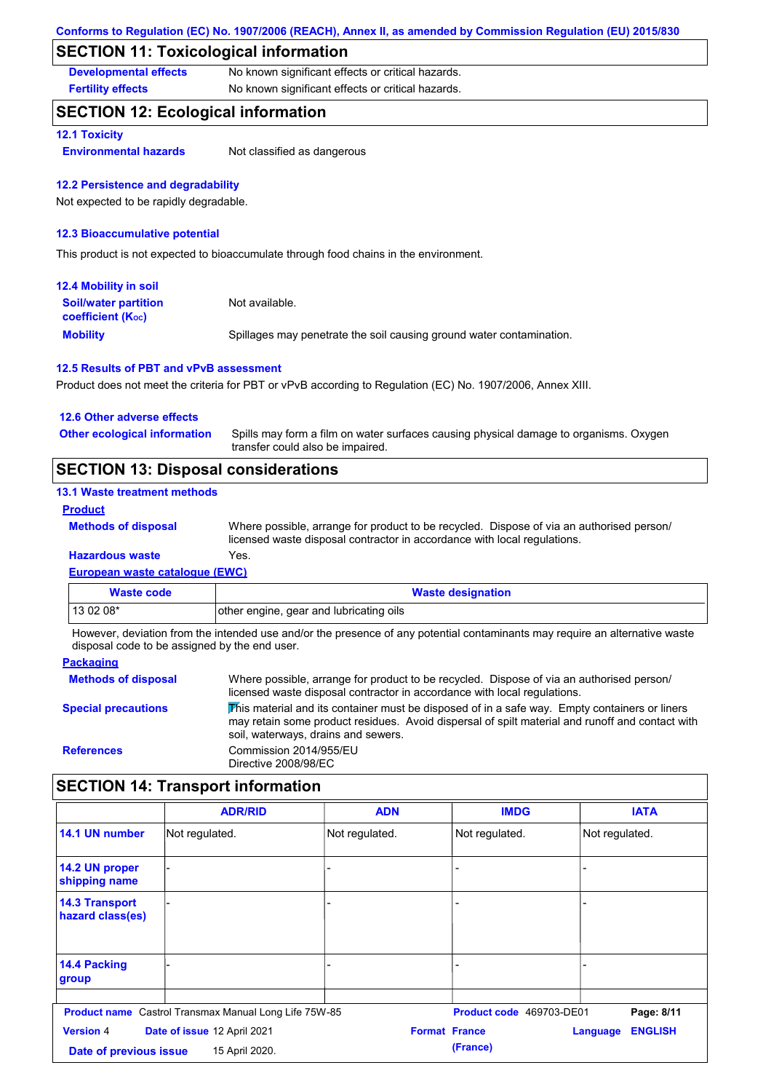## **SECTION 11: Toxicological information**

**Developmental effects** No known significant effects or critical hazards.

**Fertility effects** No known significant effects or critical hazards.

## **SECTION 12: Ecological information**

#### **12.1 Toxicity**

**Environmental hazards** Not classified as dangerous

#### **12.2 Persistence and degradability**

Not expected to be rapidly degradable.

#### **12.3 Bioaccumulative potential**

This product is not expected to bioaccumulate through food chains in the environment.

| <b>12.4 Mobility in soil</b>                                  |                                                                      |
|---------------------------------------------------------------|----------------------------------------------------------------------|
| <b>Soil/water partition</b><br>coefficient (K <sub>oc</sub> ) | Not available.                                                       |
| <b>Mobility</b>                                               | Spillages may penetrate the soil causing ground water contamination. |

#### **12.5 Results of PBT and vPvB assessment**

Product does not meet the criteria for PBT or vPvB according to Regulation (EC) No. 1907/2006, Annex XIII.

| <b>SECTION 13: Disposal considerations</b> |                                                                                                                           |
|--------------------------------------------|---------------------------------------------------------------------------------------------------------------------------|
| <b>Other ecological information</b>        | Spills may form a film on water surfaces causing physical damage to organisms. Oxygen<br>transfer could also be impaired. |
| 12.6 Other adverse effects                 |                                                                                                                           |

#### **13.1 Waste treatment methods**

#### **Product**

**Methods of disposal**

Where possible, arrange for product to be recycled. Dispose of via an authorised person/ licensed waste disposal contractor in accordance with local regulations.

### **Hazardous waste** Yes.

**European waste catalogue (EWC)**

| <b>Waste code</b> | <b>Waste designation</b>                |
|-------------------|-----------------------------------------|
| $130208*$         | other engine, gear and lubricating oils |

However, deviation from the intended use and/or the presence of any potential contaminants may require an alternative waste disposal code to be assigned by the end user.

| <b>Packaging</b>           |                                                                                                                                                                                                                                         |
|----------------------------|-----------------------------------------------------------------------------------------------------------------------------------------------------------------------------------------------------------------------------------------|
| <b>Methods of disposal</b> | Where possible, arrange for product to be recycled. Dispose of via an authorised person/<br>licensed waste disposal contractor in accordance with local regulations.                                                                    |
| <b>Special precautions</b> | This material and its container must be disposed of in a safe way. Empty containers or liners<br>may retain some product residues. Avoid dispersal of spilt material and runoff and contact with<br>soil, waterways, drains and sewers. |
| <b>References</b>          | Commission 2014/955/EU<br>Directive 2008/98/EC                                                                                                                                                                                          |

# **SECTION 14: Transport information**

|                                            | <b>ADR/RID</b>                                               | <b>ADN</b>           | <b>IMDG</b>              | <b>IATA</b>                |
|--------------------------------------------|--------------------------------------------------------------|----------------------|--------------------------|----------------------------|
| 14.1 UN number                             | Not regulated.                                               | Not regulated.       | Not regulated.           | Not regulated.             |
| 14.2 UN proper<br>shipping name            |                                                              |                      |                          |                            |
| <b>14.3 Transport</b><br>hazard class(es)  |                                                              |                      | $\overline{\phantom{0}}$ |                            |
| 14.4 Packing<br>group                      |                                                              |                      |                          |                            |
|                                            | <b>Product name</b> Castrol Transmax Manual Long Life 75W-85 |                      | Product code 469703-DE01 | Page: 8/11                 |
| <b>Version 4</b><br>Date of previous issue | Date of issue 12 April 2021<br>15 April 2020.                | <b>Format France</b> | (France)                 | <b>ENGLISH</b><br>Language |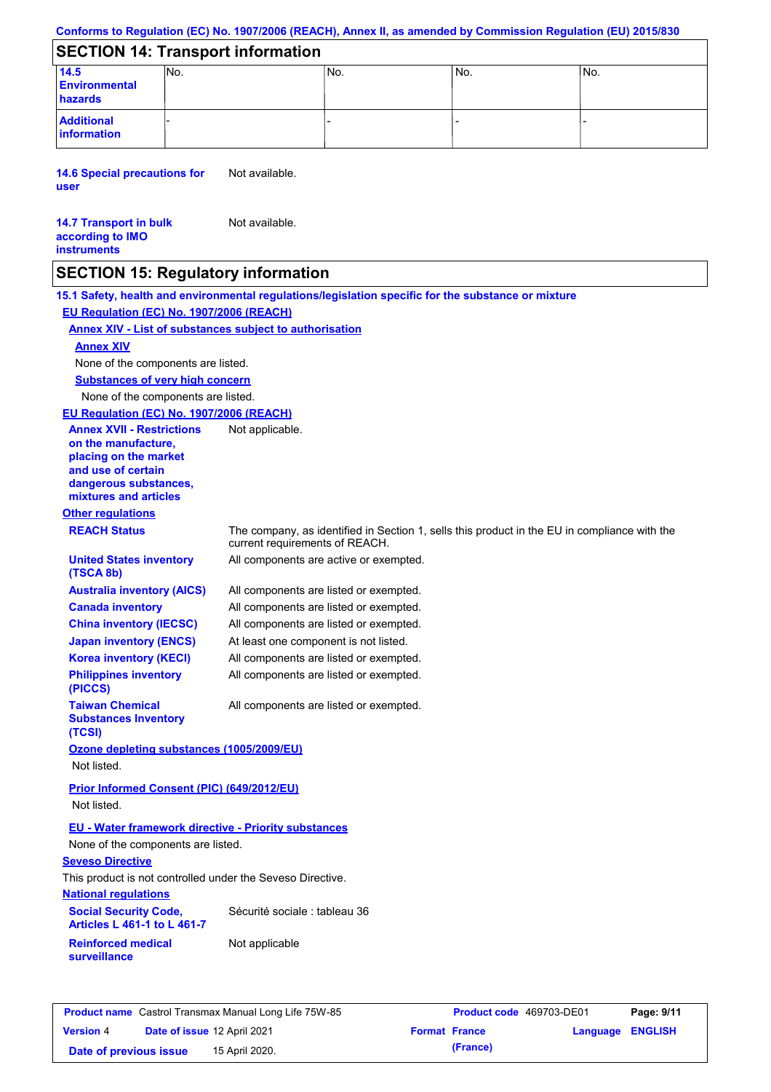# **SECTION 14: Transport information**

| 14.5                             | INO. | No. | IN <sub>o</sub> | No. |  |  |
|----------------------------------|------|-----|-----------------|-----|--|--|
| <b>Environmental</b>             |      |     |                 |     |  |  |
| hazards                          |      |     |                 |     |  |  |
| <b>Additional</b><br>information |      |     |                 |     |  |  |
|                                  |      |     |                 |     |  |  |

**14.6 Special precautions for user** Not available.

#### **14.7 Transport in bulk according to IMO instruments** Not available.

# **SECTION 15: Regulatory information**

**15.1 Safety, health and environmental regulations/legislation specific for the substance or mixture EU Regulation (EC) No. 1907/2006 (REACH)**

#### **Annex XIV - List of substances subject to authorisation**

### **Annex XIV**

None of the components are listed.

**Substances of very high concern**

None of the components are listed.

#### **EU Regulation (EC) No. 1907/2006 (REACH)**

| <b>Annex XVII - Restrictions</b><br>on the manufacture.<br>placing on the market<br>and use of certain<br>dangerous substances, | Not applicable.                                                                                                                |
|---------------------------------------------------------------------------------------------------------------------------------|--------------------------------------------------------------------------------------------------------------------------------|
| mixtures and articles                                                                                                           |                                                                                                                                |
| <b>Other regulations</b>                                                                                                        |                                                                                                                                |
| <b>REACH Status</b>                                                                                                             | The company, as identified in Section 1, sells this product in the EU in compliance with the<br>current requirements of REACH. |
| <b>United States inventory</b><br>(TSCA 8b)                                                                                     | All components are active or exempted.                                                                                         |
| <b>Australia inventory (AICS)</b>                                                                                               | All components are listed or exempted.                                                                                         |
| <b>Canada inventory</b>                                                                                                         | All components are listed or exempted.                                                                                         |
| <b>China inventory (IECSC)</b>                                                                                                  | All components are listed or exempted.                                                                                         |
| <b>Japan inventory (ENCS)</b>                                                                                                   | At least one component is not listed.                                                                                          |
| <b>Korea inventory (KECI)</b>                                                                                                   | All components are listed or exempted.                                                                                         |
| <b>Philippines inventory</b><br>(PICCS)                                                                                         | All components are listed or exempted.                                                                                         |
| <b>Taiwan Chemical</b><br><b>Substances Inventory</b><br>(TCSI)                                                                 | All components are listed or exempted.                                                                                         |
| Ozone depleting substances (1005/2009/EU)                                                                                       |                                                                                                                                |
| Not listed.                                                                                                                     |                                                                                                                                |
| <b>Prior Informed Consent (PIC) (649/2012/EU)</b><br>Not listed.                                                                |                                                                                                                                |
| <b>EU - Water framework directive - Priority substances</b><br>None of the components are listed.<br><b>Seveso Directive</b>    |                                                                                                                                |
| This product is not controlled under the Seveso Directive.                                                                      |                                                                                                                                |
| <b>National regulations</b>                                                                                                     |                                                                                                                                |
| <b>Social Security Code,</b><br><b>Articles L 461-1 to L 461-7</b>                                                              | Sécurité sociale : tableau 36                                                                                                  |
| <b>Reinforced medical</b><br>surveillance                                                                                       | Not applicable                                                                                                                 |
|                                                                                                                                 |                                                                                                                                |

| <b>Product name</b> Castrol Transmax Manual Long Life 75W-85 |                             |                | Product code 469703-DE01 | Page: 9/11 |                         |  |
|--------------------------------------------------------------|-----------------------------|----------------|--------------------------|------------|-------------------------|--|
| <b>Version 4</b>                                             | Date of issue 12 April 2021 |                | <b>Format France</b>     |            | <b>Language ENGLISH</b> |  |
| Date of previous issue                                       |                             | 15 April 2020. |                          | (France)   |                         |  |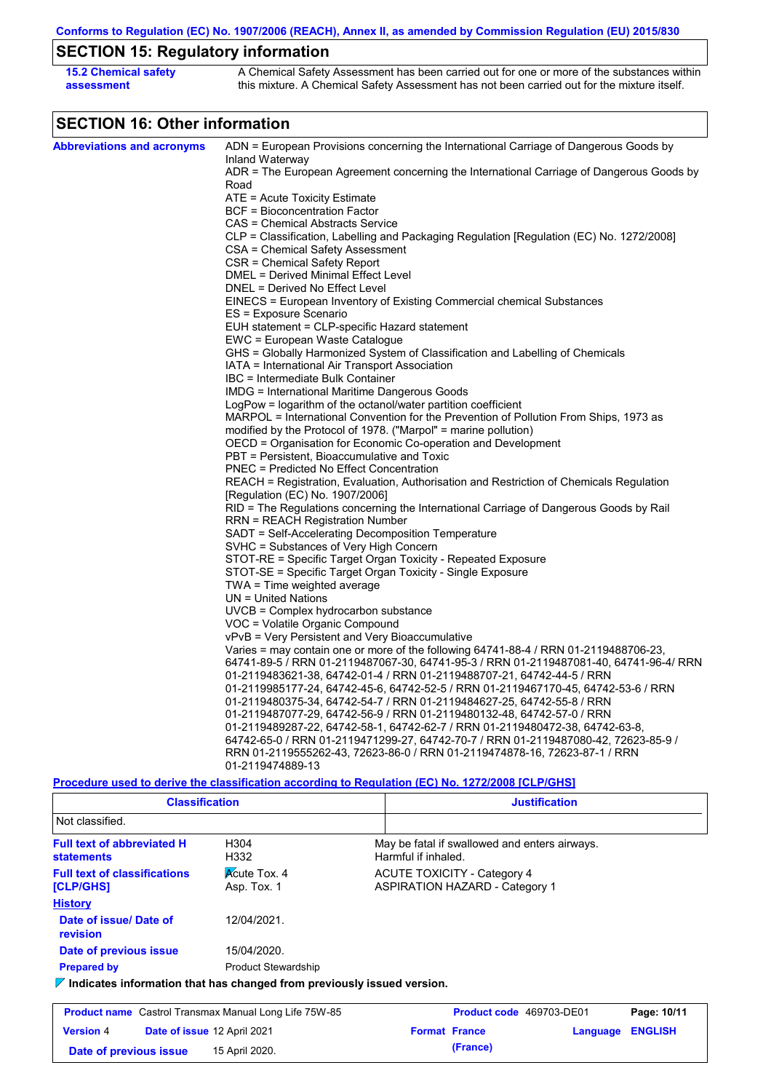# **SECTION 15: Regulatory information**

| <b>15.2 Chemical safety</b> | A Chemical Safety Assessment has been carried out for one or more of the substances within  |
|-----------------------------|---------------------------------------------------------------------------------------------|
| assessment                  | this mixture. A Chemical Safety Assessment has not been carried out for the mixture itself. |

# **SECTION 16: Other information**

| <b>Abbreviations and acronyms</b> | ADN = European Provisions concerning the International Carriage of Dangerous Goods by                          |
|-----------------------------------|----------------------------------------------------------------------------------------------------------------|
|                                   | Inland Waterway                                                                                                |
|                                   | ADR = The European Agreement concerning the International Carriage of Dangerous Goods by                       |
|                                   | Road                                                                                                           |
|                                   | ATE = Acute Toxicity Estimate                                                                                  |
|                                   | <b>BCF = Bioconcentration Factor</b>                                                                           |
|                                   | CAS = Chemical Abstracts Service                                                                               |
|                                   | CLP = Classification, Labelling and Packaging Regulation [Regulation (EC) No. 1272/2008]                       |
|                                   | CSA = Chemical Safety Assessment                                                                               |
|                                   | CSR = Chemical Safety Report                                                                                   |
|                                   | DMEL = Derived Minimal Effect Level                                                                            |
|                                   | DNEL = Derived No Effect Level                                                                                 |
|                                   | EINECS = European Inventory of Existing Commercial chemical Substances                                         |
|                                   | ES = Exposure Scenario                                                                                         |
|                                   | EUH statement = CLP-specific Hazard statement                                                                  |
|                                   | EWC = European Waste Catalogue                                                                                 |
|                                   | GHS = Globally Harmonized System of Classification and Labelling of Chemicals                                  |
|                                   | IATA = International Air Transport Association<br>IBC = Intermediate Bulk Container                            |
|                                   |                                                                                                                |
|                                   | IMDG = International Maritime Dangerous Goods<br>LogPow = logarithm of the octanol/water partition coefficient |
|                                   | MARPOL = International Convention for the Prevention of Pollution From Ships, 1973 as                          |
|                                   | modified by the Protocol of 1978. ("Marpol" = marine pollution)                                                |
|                                   | OECD = Organisation for Economic Co-operation and Development                                                  |
|                                   | PBT = Persistent, Bioaccumulative and Toxic                                                                    |
|                                   | PNEC = Predicted No Effect Concentration                                                                       |
|                                   | REACH = Registration, Evaluation, Authorisation and Restriction of Chemicals Regulation                        |
|                                   | [Regulation (EC) No. 1907/2006]                                                                                |
|                                   | RID = The Regulations concerning the International Carriage of Dangerous Goods by Rail                         |
|                                   | RRN = REACH Registration Number                                                                                |
|                                   | SADT = Self-Accelerating Decomposition Temperature                                                             |
|                                   | SVHC = Substances of Very High Concern                                                                         |
|                                   | STOT-RE = Specific Target Organ Toxicity - Repeated Exposure                                                   |
|                                   | STOT-SE = Specific Target Organ Toxicity - Single Exposure                                                     |
|                                   | TWA = Time weighted average                                                                                    |
|                                   | $UN = United Nations$                                                                                          |
|                                   | UVCB = Complex hydrocarbon substance                                                                           |
|                                   | VOC = Volatile Organic Compound                                                                                |
|                                   | vPvB = Very Persistent and Very Bioaccumulative                                                                |
|                                   | Varies = may contain one or more of the following 64741-88-4 / RRN 01-2119488706-23,                           |
|                                   | 64741-89-5 / RRN 01-2119487067-30, 64741-95-3 / RRN 01-2119487081-40, 64741-96-4/ RRN                          |
|                                   | 01-2119483621-38, 64742-01-4 / RRN 01-2119488707-21, 64742-44-5 / RRN                                          |
|                                   | 01-2119985177-24, 64742-45-6, 64742-52-5 / RRN 01-2119467170-45, 64742-53-6 / RRN                              |
|                                   | 01-2119480375-34, 64742-54-7 / RRN 01-2119484627-25, 64742-55-8 / RRN                                          |
|                                   | 01-2119487077-29, 64742-56-9 / RRN 01-2119480132-48, 64742-57-0 / RRN                                          |
|                                   | 01-2119489287-22, 64742-58-1, 64742-62-7 / RRN 01-2119480472-38, 64742-63-8,                                   |
|                                   | 64742-65-0 / RRN 01-2119471299-27, 64742-70-7 / RRN 01-2119487080-42, 72623-85-9 /                             |
|                                   | RRN 01-2119555262-43, 72623-86-0 / RRN 01-2119474878-16, 72623-87-1 / RRN                                      |
|                                   | 01-2119474889-13                                                                                               |
|                                   |                                                                                                                |
|                                   | <u>Procedure used to derive the classification according to Regulation (EC) No. 1272/2008 [CLP/GHS]</u>        |

| <b>Classification</b>                                                           |                                    | <b>Justification</b>                                                        |                                                                      |                          |          |                |
|---------------------------------------------------------------------------------|------------------------------------|-----------------------------------------------------------------------------|----------------------------------------------------------------------|--------------------------|----------|----------------|
| Not classified.                                                                 |                                    |                                                                             |                                                                      |                          |          |                |
| <b>Full text of abbreviated H</b><br><b>statements</b>                          | H304<br>H332                       |                                                                             | May be fatal if swallowed and enters airways.<br>Harmful if inhaled. |                          |          |                |
| <b>Full text of classifications</b><br>[CLP/GHS]                                | <b>Acute Tox. 4</b><br>Asp. Tox. 1 | <b>ACUTE TOXICITY - Category 4</b><br><b>ASPIRATION HAZARD - Category 1</b> |                                                                      |                          |          |                |
| <b>History</b>                                                                  |                                    |                                                                             |                                                                      |                          |          |                |
| Date of issue/Date of<br>revision                                               | 12/04/2021.                        |                                                                             |                                                                      |                          |          |                |
| Date of previous issue                                                          | 15/04/2020.                        |                                                                             |                                                                      |                          |          |                |
| <b>Prepared by</b>                                                              | <b>Product Stewardship</b>         |                                                                             |                                                                      |                          |          |                |
| $\nabla$ Indicates information that has changed from previously issued version. |                                    |                                                                             |                                                                      |                          |          |                |
| <b>Product name</b> Castrol Transmax Manual Long Life 75W-85                    |                                    |                                                                             |                                                                      | Product code 469703-DE01 |          | Page: 10/11    |
| <b>Version 4</b>                                                                | Date of issue 12 April 2021        |                                                                             | <b>Format France</b>                                                 |                          | Language | <b>ENGLISH</b> |

**Date of previous issue (France)** 15 April 2020.